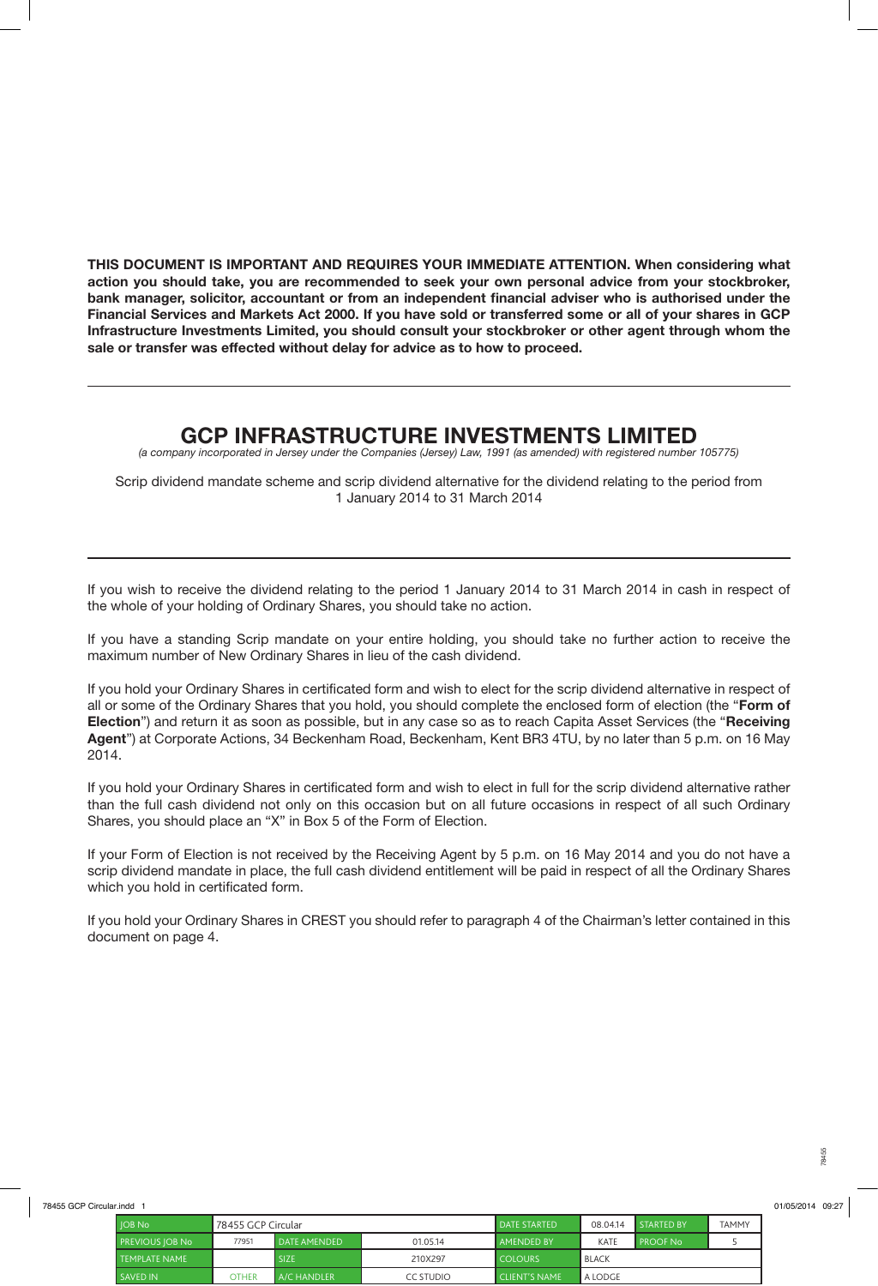**THIS DOCUMENT IS IMPORTANT AND REQUIRES YOUR IMMEDIATE ATTENTION. When considering what action you should take, you are recommended to seek your own personal advice from your stockbroker, bank manager, solicitor, accountant or from an independent financial adviser who is authorised under the Financial Services and Markets Act 2000. If you have sold or transferred some or all of your shares in GCP Infrastructure Investments Limited, you should consult your stockbroker or other agent through whom the sale or transfer was effected without delay for advice as to how to proceed.**

## **GCP INFRASTRUCTURE INVESTMENTS LIMITED**

*(a company incorporated in Jersey under the Companies (Jersey) Law, 1991 (as amended) with registered number 105775)*

Scrip dividend mandate scheme and scrip dividend alternative for the dividend relating to the period from 1 January 2014 to 31 March 2014

If you wish to receive the dividend relating to the period 1 January 2014 to 31 March 2014 in cash in respect of the whole of your holding of Ordinary Shares, you should take no action.

If you have a standing Scrip mandate on your entire holding, you should take no further action to receive the maximum number of New Ordinary Shares in lieu of the cash dividend.

If you hold your Ordinary Shares in certificated form and wish to elect for the scrip dividend alternative in respect of all or some of the Ordinary Shares that you hold, you should complete the enclosed form of election (the "**Form of Election**") and return it as soon as possible, but in any case so as to reach Capita Asset Services (the "**Receiving Agent**") at Corporate Actions, 34 Beckenham Road, Beckenham, Kent BR3 4TU, by no later than 5 p.m. on 16 May 2014.

If you hold your Ordinary Shares in certificated form and wish to elect in full for the scrip dividend alternative rather than the full cash dividend not only on this occasion but on all future occasions in respect of all such Ordinary Shares, you should place an "X" in Box 5 of the Form of Election.

If your Form of Election is not received by the Receiving Agent by 5 p.m. on 16 May 2014 and you do not have a scrip dividend mandate in place, the full cash dividend entitlement will be paid in respect of all the Ordinary Shares which you hold in certificated form.

If you hold your Ordinary Shares in CREST you should refer to paragraph 4 of the Chairman's letter contained in this document on page 4.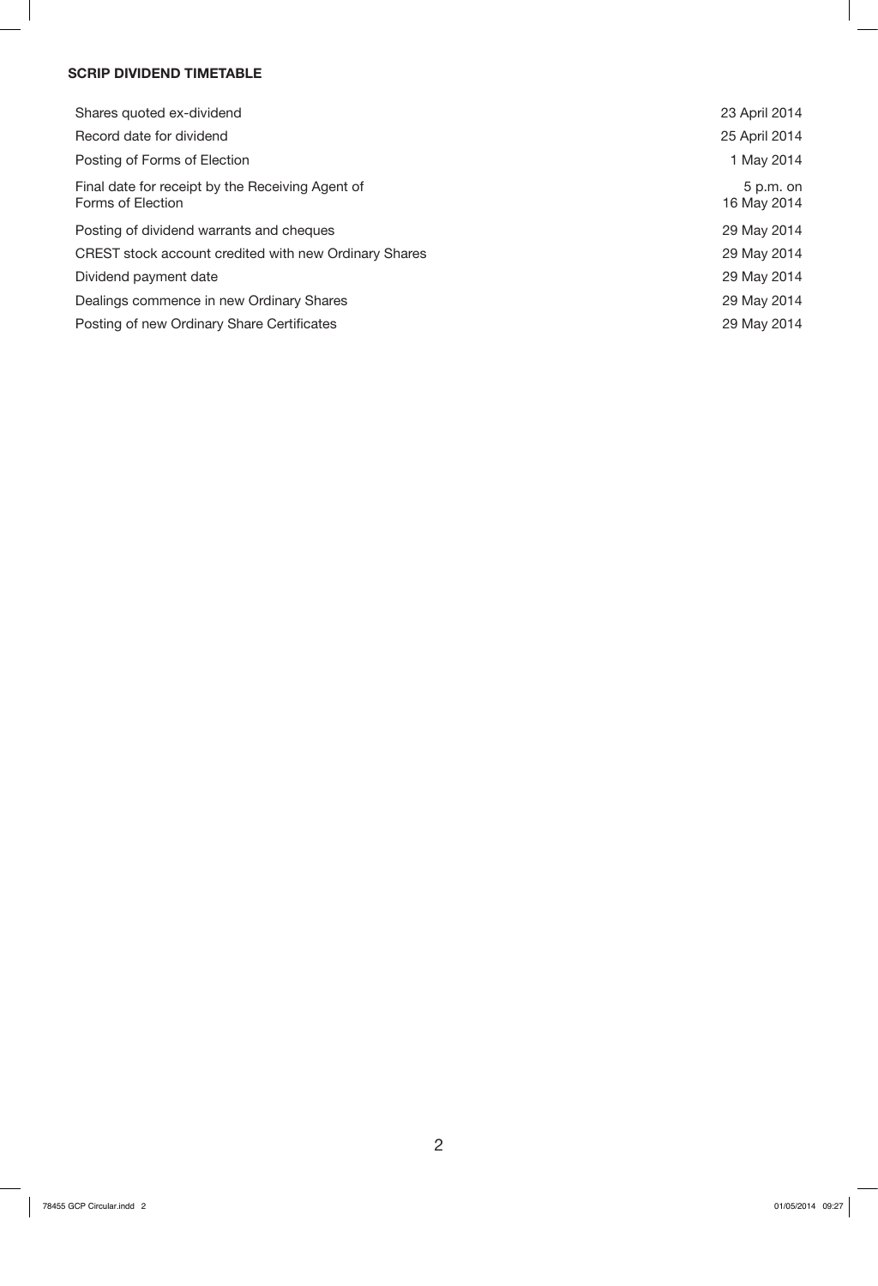## **SCRIP DIVIDEND TIMETABLE**

| Shares quoted ex-dividend                                             | 23 April 2014              |
|-----------------------------------------------------------------------|----------------------------|
| Record date for dividend                                              | 25 April 2014              |
| Posting of Forms of Election                                          | 1 May 2014                 |
| Final date for receipt by the Receiving Agent of<br>Forms of Election | $5 p.m.$ on<br>16 May 2014 |
| Posting of dividend warrants and cheques                              | 29 May 2014                |
| CREST stock account credited with new Ordinary Shares                 | 29 May 2014                |
| Dividend payment date                                                 | 29 May 2014                |
| Dealings commence in new Ordinary Shares                              | 29 May 2014                |
| Posting of new Ordinary Share Certificates                            | 29 May 2014                |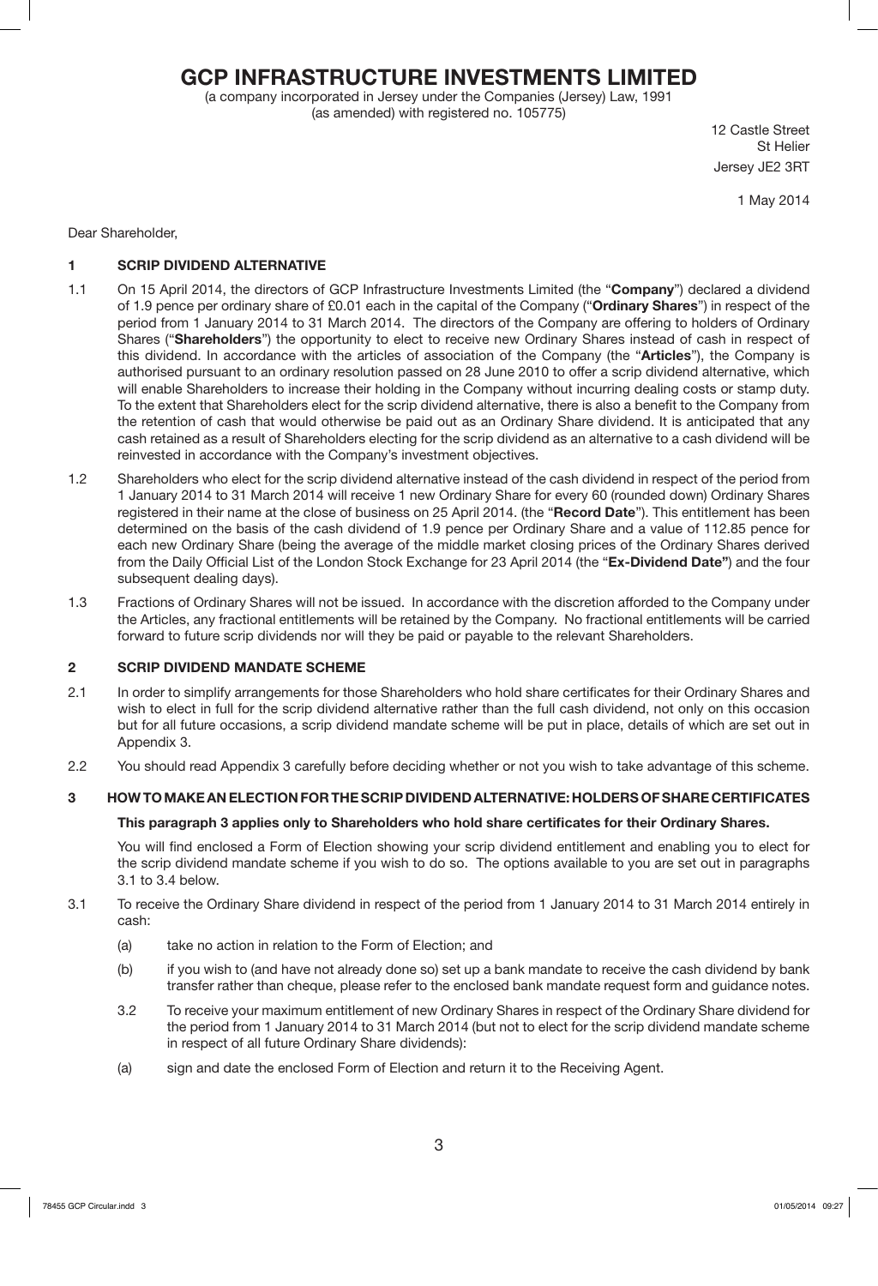## **GCP INFRASTRUCTURE INVESTMENTS LIMITED**

(a company incorporated in Jersey under the Companies (Jersey) Law, 1991 (as amended) with registered no. 105775)

12 Castle Street St Helier Jersey JE2 3RT

1 May 2014

Dear Shareholder,

## **1 SCRIP DIVIDEND ALTERNATIVE**

- 1.1 On 15 April 2014, the directors of GCP Infrastructure Investments Limited (the "**Company**") declared a dividend of 1.9 pence per ordinary share of £0.01 each in the capital of the Company ("**Ordinary Shares**") in respect of the period from 1 January 2014 to 31 March 2014. The directors of the Company are offering to holders of Ordinary Shares ("**Shareholders**") the opportunity to elect to receive new Ordinary Shares instead of cash in respect of this dividend. In accordance with the articles of association of the Company (the "**Articles**"), the Company is authorised pursuant to an ordinary resolution passed on 28 June 2010 to offer a scrip dividend alternative, which will enable Shareholders to increase their holding in the Company without incurring dealing costs or stamp duty. To the extent that Shareholders elect for the scrip dividend alternative, there is also a benefit to the Company from the retention of cash that would otherwise be paid out as an Ordinary Share dividend. It is anticipated that any cash retained as a result of Shareholders electing for the scrip dividend as an alternative to a cash dividend will be reinvested in accordance with the Company's investment objectives.
- 1.2 Shareholders who elect for the scrip dividend alternative instead of the cash dividend in respect of the period from 1 January 2014 to 31 March 2014 will receive 1 new Ordinary Share for every 60 (rounded down) Ordinary Shares registered in their name at the close of business on 25 April 2014. (the "**Record Date**"). This entitlement has been determined on the basis of the cash dividend of 1.9 pence per Ordinary Share and a value of 112.85 pence for each new Ordinary Share (being the average of the middle market closing prices of the Ordinary Shares derived from the Daily Official List of the London Stock Exchange for 23 April 2014 (the "**Ex-Dividend Date"**) and the four subsequent dealing days).
- 1.3 Fractions of Ordinary Shares will not be issued. In accordance with the discretion afforded to the Company under the Articles, any fractional entitlements will be retained by the Company. No fractional entitlements will be carried forward to future scrip dividends nor will they be paid or payable to the relevant Shareholders.

## **2 SCRIP DIVIDEND MANDATE SCHEME**

- 2.1 In order to simplify arrangements for those Shareholders who hold share certificates for their Ordinary Shares and wish to elect in full for the scrip dividend alternative rather than the full cash dividend, not only on this occasion but for all future occasions, a scrip dividend mandate scheme will be put in place, details of which are set out in Appendix 3.
- 2.2 You should read Appendix 3 carefully before deciding whether or not you wish to take advantage of this scheme.

## **3 HOW TO MAKE AN ELECTION FOR THE SCRIP DIVIDEND ALTERNATIVE: HOLDERS OF SHARE CERTIFICATES**

## **This paragraph 3 applies only to Shareholders who hold share certificates for their Ordinary Shares.**

You will find enclosed a Form of Election showing your scrip dividend entitlement and enabling you to elect for the scrip dividend mandate scheme if you wish to do so. The options available to you are set out in paragraphs 3.1 to 3.4 below.

- 3.1 To receive the Ordinary Share dividend in respect of the period from 1 January 2014 to 31 March 2014 entirely in cash:
	- (a) take no action in relation to the Form of Election; and
	- (b) if you wish to (and have not already done so) set up a bank mandate to receive the cash dividend by bank transfer rather than cheque, please refer to the enclosed bank mandate request form and guidance notes.
	- 3.2 To receive your maximum entitlement of new Ordinary Shares in respect of the Ordinary Share dividend for the period from 1 January 2014 to 31 March 2014 (but not to elect for the scrip dividend mandate scheme in respect of all future Ordinary Share dividends):
	- (a) sign and date the enclosed Form of Election and return it to the Receiving Agent.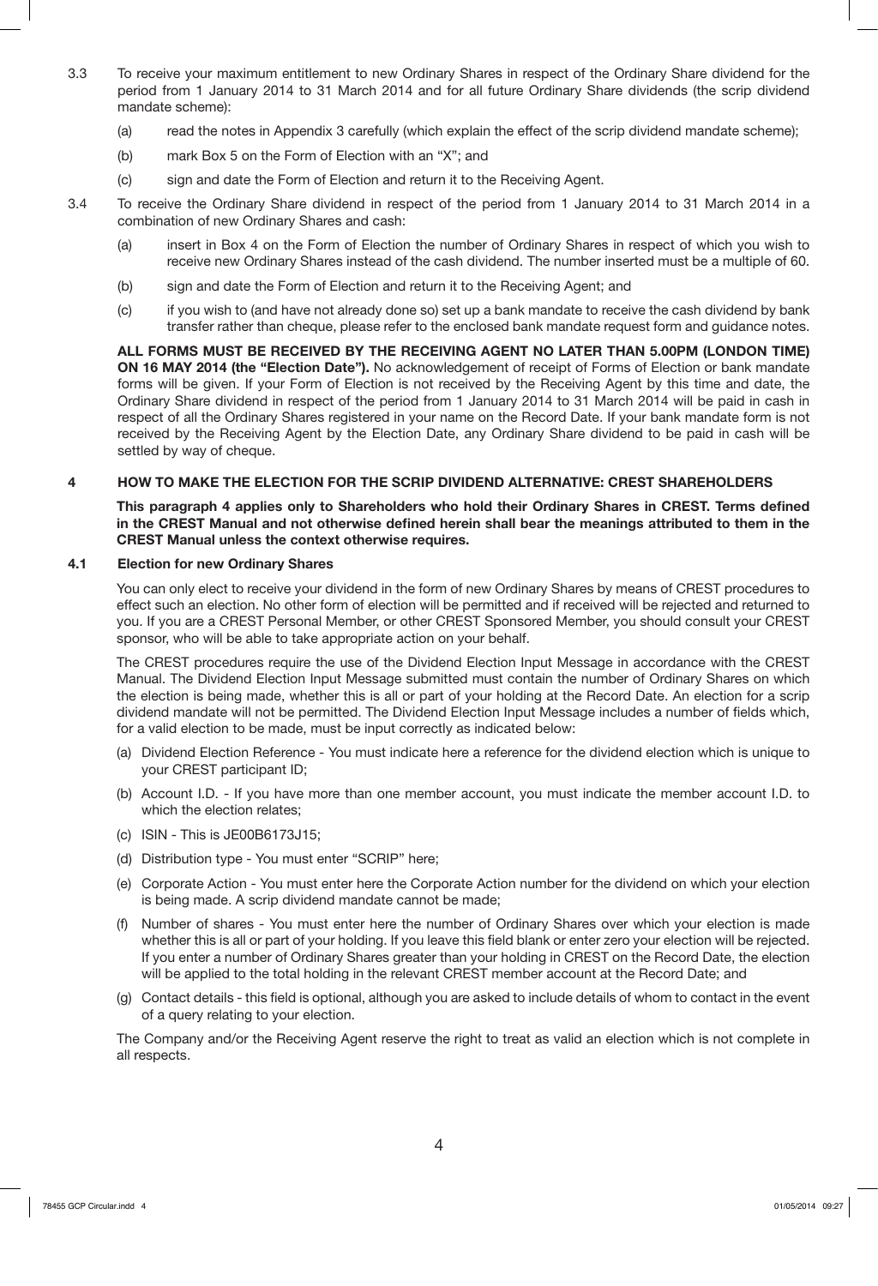- 3.3 To receive your maximum entitlement to new Ordinary Shares in respect of the Ordinary Share dividend for the period from 1 January 2014 to 31 March 2014 and for all future Ordinary Share dividends (the scrip dividend mandate scheme):
	- (a) read the notes in Appendix 3 carefully (which explain the effect of the scrip dividend mandate scheme);
	- (b) mark Box 5 on the Form of Election with an "X"; and
	- (c) sign and date the Form of Election and return it to the Receiving Agent.
- 3.4 To receive the Ordinary Share dividend in respect of the period from 1 January 2014 to 31 March 2014 in a combination of new Ordinary Shares and cash:
	- (a) insert in Box 4 on the Form of Election the number of Ordinary Shares in respect of which you wish to receive new Ordinary Shares instead of the cash dividend. The number inserted must be a multiple of 60.
	- (b) sign and date the Form of Election and return it to the Receiving Agent; and
	- (c) if you wish to (and have not already done so) set up a bank mandate to receive the cash dividend by bank transfer rather than cheque, please refer to the enclosed bank mandate request form and guidance notes.

**ALL FORMS MUST BE RECEIVED BY THE RECEIVING AGENT NO LATER THAN 5.00PM (LONDON TIME) ON 16 MAY 2014 (the "Election Date").** No acknowledgement of receipt of Forms of Election or bank mandate forms will be given. If your Form of Election is not received by the Receiving Agent by this time and date, the Ordinary Share dividend in respect of the period from 1 January 2014 to 31 March 2014 will be paid in cash in respect of all the Ordinary Shares registered in your name on the Record Date. If your bank mandate form is not received by the Receiving Agent by the Election Date, any Ordinary Share dividend to be paid in cash will be settled by way of cheque.

## **4 HOW TO MAKE THE ELECTION FOR THE SCRIP DIVIDEND ALTERNATIVE: CREST SHAREHOLDERS**

**This paragraph 4 applies only to Shareholders who hold their Ordinary Shares in CREST. Terms defined in the CREST Manual and not otherwise defined herein shall bear the meanings attributed to them in the CREST Manual unless the context otherwise requires.** 

## **4.1 Election for new Ordinary Shares**

You can only elect to receive your dividend in the form of new Ordinary Shares by means of CREST procedures to effect such an election. No other form of election will be permitted and if received will be rejected and returned to you. If you are a CREST Personal Member, or other CREST Sponsored Member, you should consult your CREST sponsor, who will be able to take appropriate action on your behalf.

The CREST procedures require the use of the Dividend Election Input Message in accordance with the CREST Manual. The Dividend Election Input Message submitted must contain the number of Ordinary Shares on which the election is being made, whether this is all or part of your holding at the Record Date. An election for a scrip dividend mandate will not be permitted. The Dividend Election Input Message includes a number of fields which, for a valid election to be made, must be input correctly as indicated below:

- (a) Dividend Election Reference You must indicate here a reference for the dividend election which is unique to your CREST participant ID;
- (b) Account I.D. If you have more than one member account, you must indicate the member account I.D. to which the election relates;
- (c) ISIN This is JE00B6173J15;
- (d) Distribution type You must enter "SCRIP" here;
- (e) Corporate Action You must enter here the Corporate Action number for the dividend on which your election is being made. A scrip dividend mandate cannot be made;
- (f) Number of shares You must enter here the number of Ordinary Shares over which your election is made whether this is all or part of your holding. If you leave this field blank or enter zero your election will be rejected. If you enter a number of Ordinary Shares greater than your holding in CREST on the Record Date, the election will be applied to the total holding in the relevant CREST member account at the Record Date; and
- (g) Contact details this field is optional, although you are asked to include details of whom to contact in the event of a query relating to your election.

The Company and/or the Receiving Agent reserve the right to treat as valid an election which is not complete in all respects.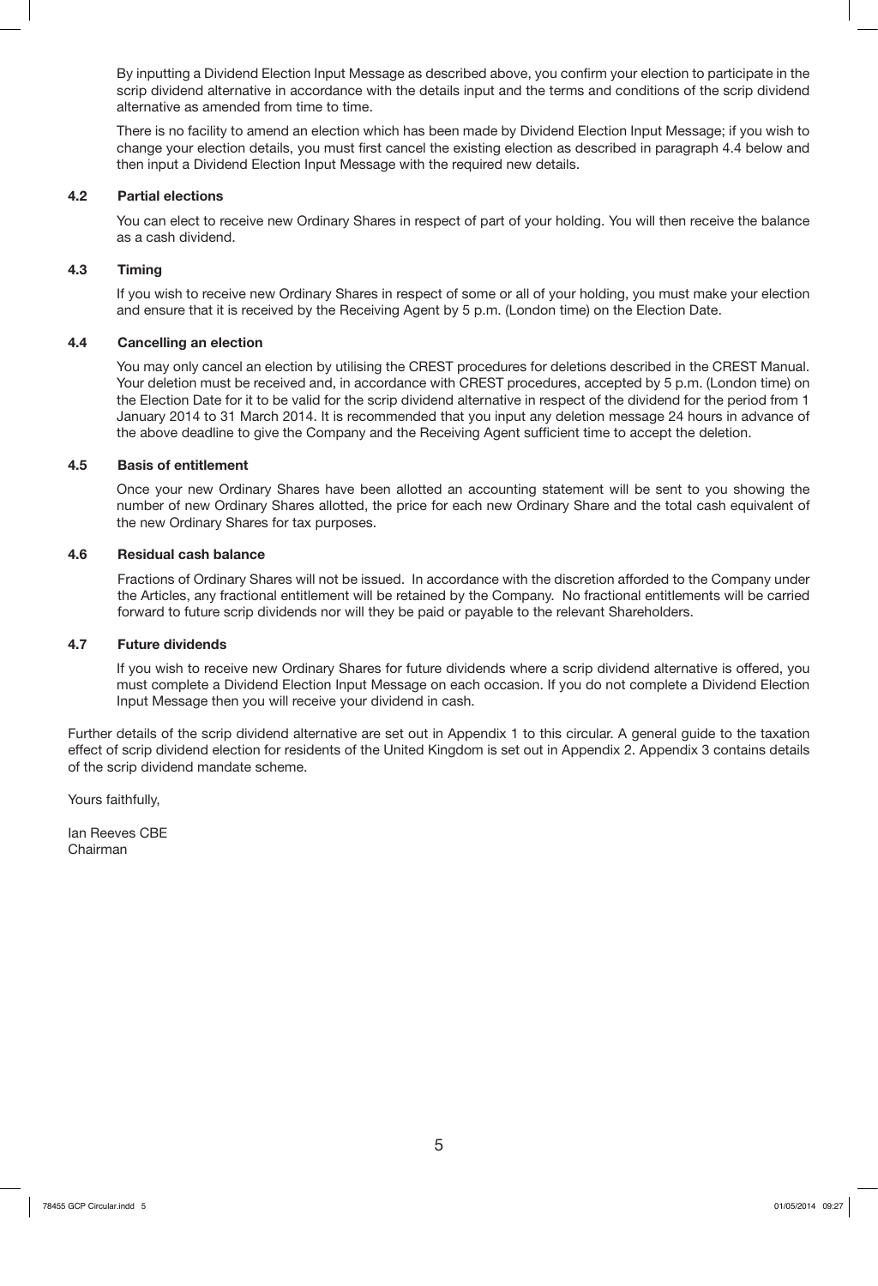By inputting a Dividend Election Input Message as described above, you confirm your election to participate in the scrip dividend alternative in accordance with the details input and the terms and conditions of the scrip dividend alternative as amended from time to time.

There is no facility to amend an election which has been made by Dividend Election Input Message; if you wish to change your election details, you must first cancel the existing election as described in paragraph 4.4 below and then input a Dividend Election Input Message with the required new details.

#### **4.2 Partial elections**

You can elect to receive new Ordinary Shares in respect of part of your holding. You will then receive the balance as a cash dividend.

#### **4.3 Timing**

If you wish to receive new Ordinary Shares in respect of some or all of your holding, you must make your election and ensure that it is received by the Receiving Agent by 5 p.m. (London time) on the Election Date.

#### **4.4 Cancelling an election**

You may only cancel an election by utilising the CREST procedures for deletions described in the CREST Manual. Your deletion must be received and, in accordance with CREST procedures, accepted by 5 p.m. (London time) on the Election Date for it to be valid for the scrip dividend alternative in respect of the dividend for the period from 1 January 2014 to 31 March 2014. It is recommended that you input any deletion message 24 hours in advance of the above deadline to give the Company and the Receiving Agent sufficient time to accept the deletion.

#### **4.5 Basis of entitlement**

Once your new Ordinary Shares have been allotted an accounting statement will be sent to you showing the number of new Ordinary Shares allotted, the price for each new Ordinary Share and the total cash equivalent of the new Ordinary Shares for tax purposes.

#### **4.6 Residual cash balance**

Fractions of Ordinary Shares will not be issued. In accordance with the discretion afforded to the Company under the Articles, any fractional entitlement will be retained by the Company. No fractional entitlements will be carried forward to future scrip dividends nor will they be paid or payable to the relevant Shareholders.

#### **4.7 Future dividends**

If you wish to receive new Ordinary Shares for future dividends where a scrip dividend alternative is offered, you must complete a Dividend Election Input Message on each occasion. If you do not complete a Dividend Election Input Message then you will receive your dividend in cash.

Further details of the scrip dividend alternative are set out in Appendix 1 to this circular. A general guide to the taxation effect of scrip dividend election for residents of the United Kingdom is set out in Appendix 2. Appendix 3 contains details of the scrip dividend mandate scheme.

Yours faithfully,

Ian Reeves CBE Chairman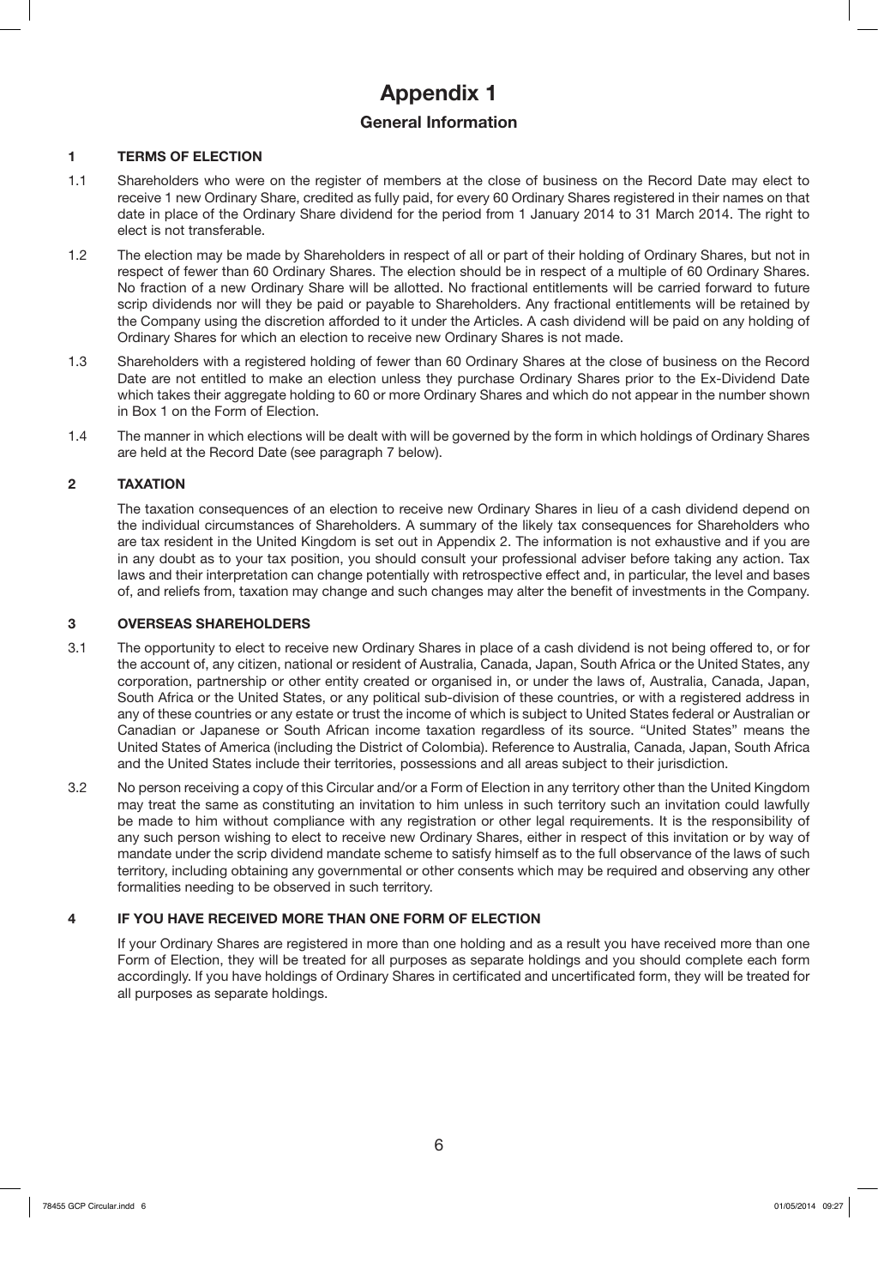# **Appendix 1**

## **General Information**

## **1 TERMS OF ELECTION**

- 1.1 Shareholders who were on the register of members at the close of business on the Record Date may elect to receive 1 new Ordinary Share, credited as fully paid, for every 60 Ordinary Shares registered in their names on that date in place of the Ordinary Share dividend for the period from 1 January 2014 to 31 March 2014. The right to elect is not transferable.
- 1.2 The election may be made by Shareholders in respect of all or part of their holding of Ordinary Shares, but not in respect of fewer than 60 Ordinary Shares. The election should be in respect of a multiple of 60 Ordinary Shares. No fraction of a new Ordinary Share will be allotted. No fractional entitlements will be carried forward to future scrip dividends nor will they be paid or payable to Shareholders. Any fractional entitlements will be retained by the Company using the discretion afforded to it under the Articles. A cash dividend will be paid on any holding of Ordinary Shares for which an election to receive new Ordinary Shares is not made.
- 1.3 Shareholders with a registered holding of fewer than 60 Ordinary Shares at the close of business on the Record Date are not entitled to make an election unless they purchase Ordinary Shares prior to the Ex-Dividend Date which takes their aggregate holding to 60 or more Ordinary Shares and which do not appear in the number shown in Box 1 on the Form of Election.
- 1.4 The manner in which elections will be dealt with will be governed by the form in which holdings of Ordinary Shares are held at the Record Date (see paragraph 7 below).

## **2 TAXATION**

The taxation consequences of an election to receive new Ordinary Shares in lieu of a cash dividend depend on the individual circumstances of Shareholders. A summary of the likely tax consequences for Shareholders who are tax resident in the United Kingdom is set out in Appendix 2. The information is not exhaustive and if you are in any doubt as to your tax position, you should consult your professional adviser before taking any action. Tax laws and their interpretation can change potentially with retrospective effect and, in particular, the level and bases of, and reliefs from, taxation may change and such changes may alter the benefit of investments in the Company.

#### **3 OVERSEAS SHAREHOLDERS**

- 3.1 The opportunity to elect to receive new Ordinary Shares in place of a cash dividend is not being offered to, or for the account of, any citizen, national or resident of Australia, Canada, Japan, South Africa or the United States, any corporation, partnership or other entity created or organised in, or under the laws of, Australia, Canada, Japan, South Africa or the United States, or any political sub-division of these countries, or with a registered address in any of these countries or any estate or trust the income of which is subject to United States federal or Australian or Canadian or Japanese or South African income taxation regardless of its source. "United States" means the United States of America (including the District of Colombia). Reference to Australia, Canada, Japan, South Africa and the United States include their territories, possessions and all areas subject to their jurisdiction.
- 3.2 No person receiving a copy of this Circular and/or a Form of Election in any territory other than the United Kingdom may treat the same as constituting an invitation to him unless in such territory such an invitation could lawfully be made to him without compliance with any registration or other legal requirements. It is the responsibility of any such person wishing to elect to receive new Ordinary Shares, either in respect of this invitation or by way of mandate under the scrip dividend mandate scheme to satisfy himself as to the full observance of the laws of such territory, including obtaining any governmental or other consents which may be required and observing any other formalities needing to be observed in such territory.

## **4 IF YOU HAVE RECEIVED MORE THAN ONE FORM OF ELECTION**

If your Ordinary Shares are registered in more than one holding and as a result you have received more than one Form of Election, they will be treated for all purposes as separate holdings and you should complete each form accordingly. If you have holdings of Ordinary Shares in certificated and uncertificated form, they will be treated for all purposes as separate holdings.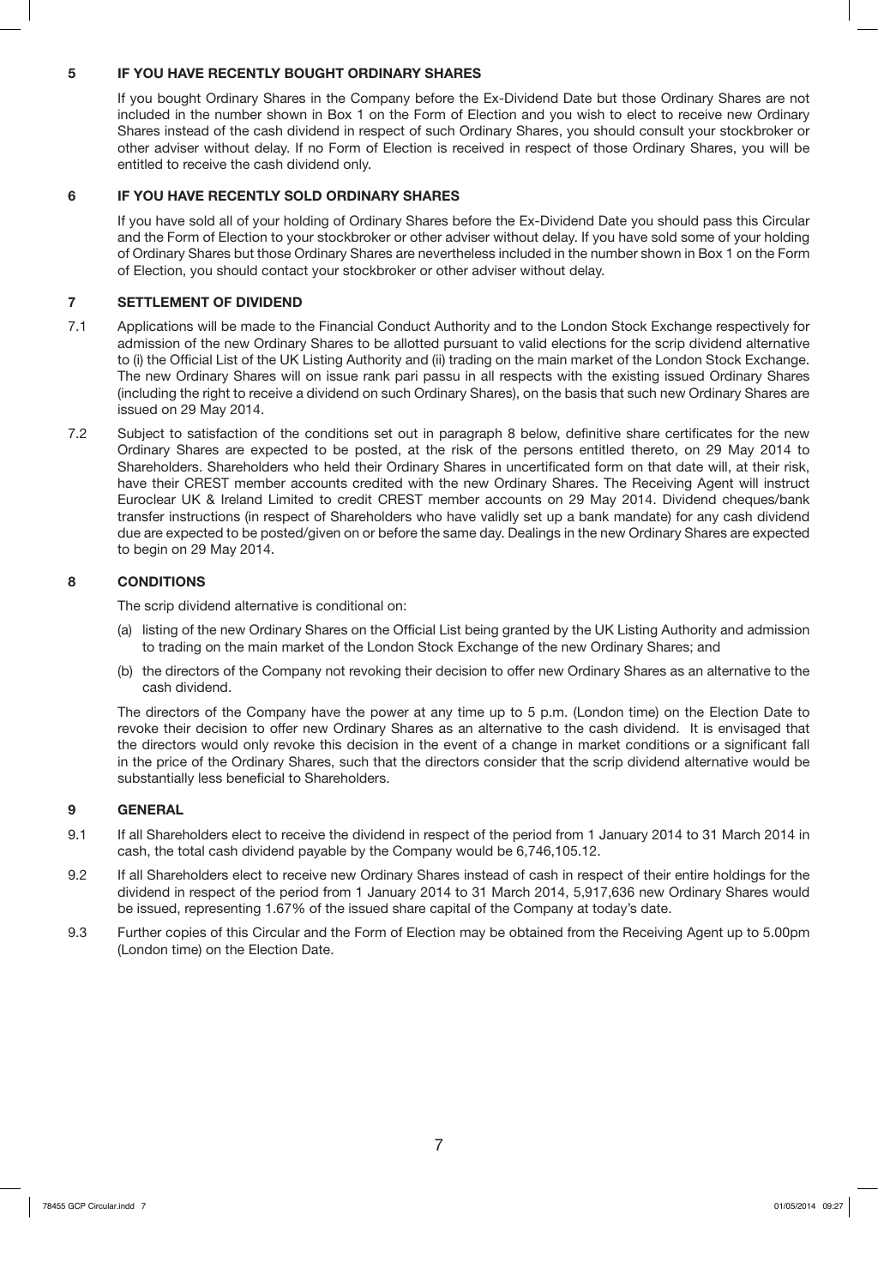## **5 IF YOU HAVE RECENTLY BOUGHT ORDINARY SHARES**

If you bought Ordinary Shares in the Company before the Ex-Dividend Date but those Ordinary Shares are not included in the number shown in Box 1 on the Form of Election and you wish to elect to receive new Ordinary Shares instead of the cash dividend in respect of such Ordinary Shares, you should consult your stockbroker or other adviser without delay. If no Form of Election is received in respect of those Ordinary Shares, you will be entitled to receive the cash dividend only.

## **6 IF YOU HAVE RECENTLY SOLD ORDINARY SHARES**

If you have sold all of your holding of Ordinary Shares before the Ex-Dividend Date you should pass this Circular and the Form of Election to your stockbroker or other adviser without delay. If you have sold some of your holding of Ordinary Shares but those Ordinary Shares are nevertheless included in the number shown in Box 1 on the Form of Election, you should contact your stockbroker or other adviser without delay.

## **7 SETTLEMENT OF DIVIDEND**

- 7.1 Applications will be made to the Financial Conduct Authority and to the London Stock Exchange respectively for admission of the new Ordinary Shares to be allotted pursuant to valid elections for the scrip dividend alternative to (i) the Official List of the UK Listing Authority and (ii) trading on the main market of the London Stock Exchange. The new Ordinary Shares will on issue rank pari passu in all respects with the existing issued Ordinary Shares (including the right to receive a dividend on such Ordinary Shares), on the basis that such new Ordinary Shares are issued on 29 May 2014.
- 7.2 Subject to satisfaction of the conditions set out in paragraph 8 below, definitive share certificates for the new Ordinary Shares are expected to be posted, at the risk of the persons entitled thereto, on 29 May 2014 to Shareholders. Shareholders who held their Ordinary Shares in uncertificated form on that date will, at their risk, have their CREST member accounts credited with the new Ordinary Shares. The Receiving Agent will instruct Euroclear UK & Ireland Limited to credit CREST member accounts on 29 May 2014. Dividend cheques/bank transfer instructions (in respect of Shareholders who have validly set up a bank mandate) for any cash dividend due are expected to be posted/given on or before the same day. Dealings in the new Ordinary Shares are expected to begin on 29 May 2014.

## **8 CONDITIONS**

The scrip dividend alternative is conditional on:

- (a) listing of the new Ordinary Shares on the Official List being granted by the UK Listing Authority and admission to trading on the main market of the London Stock Exchange of the new Ordinary Shares; and
- (b) the directors of the Company not revoking their decision to offer new Ordinary Shares as an alternative to the cash dividend.

The directors of the Company have the power at any time up to 5 p.m. (London time) on the Election Date to revoke their decision to offer new Ordinary Shares as an alternative to the cash dividend. It is envisaged that the directors would only revoke this decision in the event of a change in market conditions or a significant fall in the price of the Ordinary Shares, such that the directors consider that the scrip dividend alternative would be substantially less beneficial to Shareholders.

#### **9 GENERAL**

- 9.1 If all Shareholders elect to receive the dividend in respect of the period from 1 January 2014 to 31 March 2014 in cash, the total cash dividend payable by the Company would be 6,746,105.12.
- 9.2 If all Shareholders elect to receive new Ordinary Shares instead of cash in respect of their entire holdings for the dividend in respect of the period from 1 January 2014 to 31 March 2014, 5,917,636 new Ordinary Shares would be issued, representing 1.67% of the issued share capital of the Company at today's date.
- 9.3 Further copies of this Circular and the Form of Election may be obtained from the Receiving Agent up to 5.00pm (London time) on the Election Date.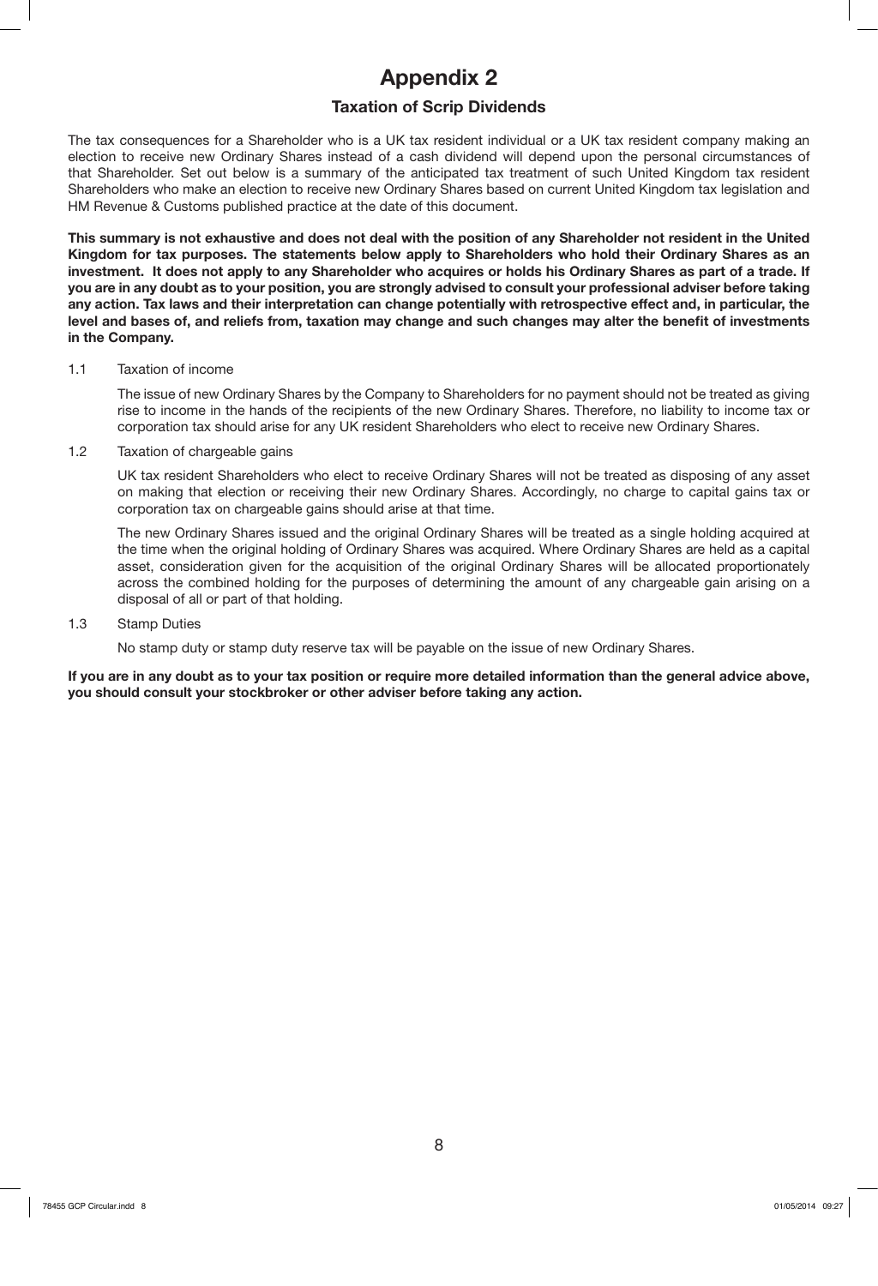## **Appendix 2**

## **Taxation of Scrip Dividends**

The tax consequences for a Shareholder who is a UK tax resident individual or a UK tax resident company making an election to receive new Ordinary Shares instead of a cash dividend will depend upon the personal circumstances of that Shareholder. Set out below is a summary of the anticipated tax treatment of such United Kingdom tax resident Shareholders who make an election to receive new Ordinary Shares based on current United Kingdom tax legislation and HM Revenue & Customs published practice at the date of this document.

**This summary is not exhaustive and does not deal with the position of any Shareholder not resident in the United Kingdom for tax purposes. The statements below apply to Shareholders who hold their Ordinary Shares as an investment. It does not apply to any Shareholder who acquires or holds his Ordinary Shares as part of a trade. If you are in any doubt as to your position, you are strongly advised to consult your professional adviser before taking any action. Tax laws and their interpretation can change potentially with retrospective effect and, in particular, the level and bases of, and reliefs from, taxation may change and such changes may alter the benefit of investments in the Company.**

#### 1.1 Taxation of income

The issue of new Ordinary Shares by the Company to Shareholders for no payment should not be treated as giving rise to income in the hands of the recipients of the new Ordinary Shares. Therefore, no liability to income tax or corporation tax should arise for any UK resident Shareholders who elect to receive new Ordinary Shares.

1.2 Taxation of chargeable gains

UK tax resident Shareholders who elect to receive Ordinary Shares will not be treated as disposing of any asset on making that election or receiving their new Ordinary Shares. Accordingly, no charge to capital gains tax or corporation tax on chargeable gains should arise at that time.

The new Ordinary Shares issued and the original Ordinary Shares will be treated as a single holding acquired at the time when the original holding of Ordinary Shares was acquired. Where Ordinary Shares are held as a capital asset, consideration given for the acquisition of the original Ordinary Shares will be allocated proportionately across the combined holding for the purposes of determining the amount of any chargeable gain arising on a disposal of all or part of that holding.

#### 1.3 Stamp Duties

No stamp duty or stamp duty reserve tax will be payable on the issue of new Ordinary Shares.

**If you are in any doubt as to your tax position or require more detailed information than the general advice above, you should consult your stockbroker or other adviser before taking any action.**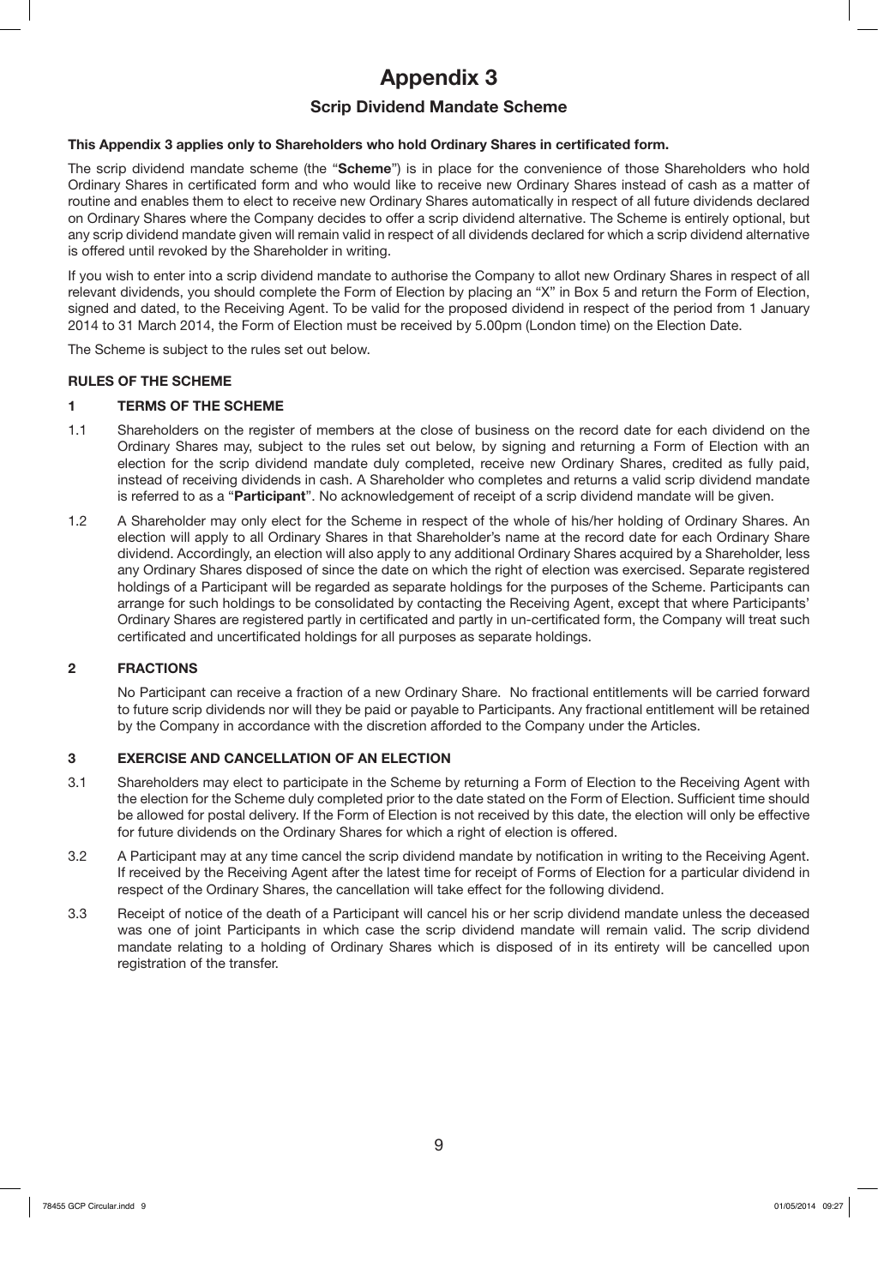# **Appendix 3**

## **Scrip Dividend Mandate Scheme**

## **This Appendix 3 applies only to Shareholders who hold Ordinary Shares in certificated form.**

The scrip dividend mandate scheme (the "**Scheme**") is in place for the convenience of those Shareholders who hold Ordinary Shares in certificated form and who would like to receive new Ordinary Shares instead of cash as a matter of routine and enables them to elect to receive new Ordinary Shares automatically in respect of all future dividends declared on Ordinary Shares where the Company decides to offer a scrip dividend alternative. The Scheme is entirely optional, but any scrip dividend mandate given will remain valid in respect of all dividends declared for which a scrip dividend alternative is offered until revoked by the Shareholder in writing.

If you wish to enter into a scrip dividend mandate to authorise the Company to allot new Ordinary Shares in respect of all relevant dividends, you should complete the Form of Election by placing an "X" in Box 5 and return the Form of Election, signed and dated, to the Receiving Agent. To be valid for the proposed dividend in respect of the period from 1 January 2014 to 31 March 2014, the Form of Election must be received by 5.00pm (London time) on the Election Date.

The Scheme is subject to the rules set out below.

## **RULES OF THE SCHEME**

## **1 TERMS OF THE SCHEME**

- 1.1 Shareholders on the register of members at the close of business on the record date for each dividend on the Ordinary Shares may, subject to the rules set out below, by signing and returning a Form of Election with an election for the scrip dividend mandate duly completed, receive new Ordinary Shares, credited as fully paid, instead of receiving dividends in cash. A Shareholder who completes and returns a valid scrip dividend mandate is referred to as a "**Participant**". No acknowledgement of receipt of a scrip dividend mandate will be given.
- 1.2 A Shareholder may only elect for the Scheme in respect of the whole of his/her holding of Ordinary Shares. An election will apply to all Ordinary Shares in that Shareholder's name at the record date for each Ordinary Share dividend. Accordingly, an election will also apply to any additional Ordinary Shares acquired by a Shareholder, less any Ordinary Shares disposed of since the date on which the right of election was exercised. Separate registered holdings of a Participant will be regarded as separate holdings for the purposes of the Scheme. Participants can arrange for such holdings to be consolidated by contacting the Receiving Agent, except that where Participants' Ordinary Shares are registered partly in certificated and partly in un-certificated form, the Company will treat such certificated and uncertificated holdings for all purposes as separate holdings.

#### **2 FRACTIONS**

No Participant can receive a fraction of a new Ordinary Share. No fractional entitlements will be carried forward to future scrip dividends nor will they be paid or payable to Participants. Any fractional entitlement will be retained by the Company in accordance with the discretion afforded to the Company under the Articles.

## **3 EXERCISE AND CANCELLATION OF AN ELECTION**

- 3.1 Shareholders may elect to participate in the Scheme by returning a Form of Election to the Receiving Agent with the election for the Scheme duly completed prior to the date stated on the Form of Election. Sufficient time should be allowed for postal delivery. If the Form of Election is not received by this date, the election will only be effective for future dividends on the Ordinary Shares for which a right of election is offered.
- 3.2 A Participant may at any time cancel the scrip dividend mandate by notification in writing to the Receiving Agent. If received by the Receiving Agent after the latest time for receipt of Forms of Election for a particular dividend in respect of the Ordinary Shares, the cancellation will take effect for the following dividend.
- 3.3 Receipt of notice of the death of a Participant will cancel his or her scrip dividend mandate unless the deceased was one of joint Participants in which case the scrip dividend mandate will remain valid. The scrip dividend mandate relating to a holding of Ordinary Shares which is disposed of in its entirety will be cancelled upon registration of the transfer.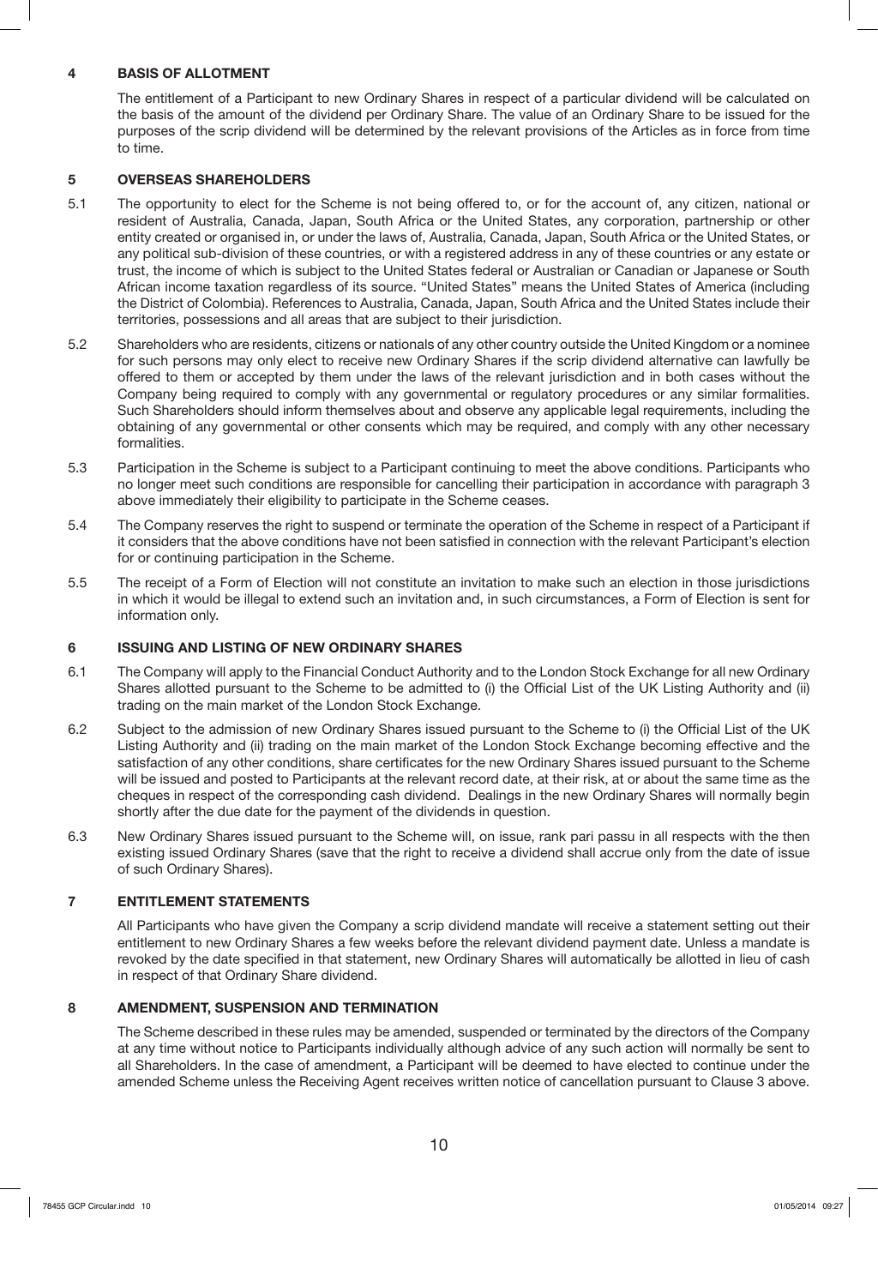#### **4 BASIS OF ALLOTMENT**

The entitlement of a Participant to new Ordinary Shares in respect of a particular dividend will be calculated on the basis of the amount of the dividend per Ordinary Share. The value of an Ordinary Share to be issued for the purposes of the scrip dividend will be determined by the relevant provisions of the Articles as in force from time to time.

#### **5 OVERSEAS SHAREHOLDERS**

- 5.1 The opportunity to elect for the Scheme is not being offered to, or for the account of, any citizen, national or resident of Australia, Canada, Japan, South Africa or the United States, any corporation, partnership or other entity created or organised in, or under the laws of, Australia, Canada, Japan, South Africa or the United States, or any political sub-division of these countries, or with a registered address in any of these countries or any estate or trust, the income of which is subject to the United States federal or Australian or Canadian or Japanese or South African income taxation regardless of its source. "United States" means the United States of America (including the District of Colombia). References to Australia, Canada, Japan, South Africa and the United States include their territories, possessions and all areas that are subject to their jurisdiction.
- 5.2 Shareholders who are residents, citizens or nationals of any other country outside the United Kingdom or a nominee for such persons may only elect to receive new Ordinary Shares if the scrip dividend alternative can lawfully be offered to them or accepted by them under the laws of the relevant jurisdiction and in both cases without the Company being required to comply with any governmental or regulatory procedures or any similar formalities. Such Shareholders should inform themselves about and observe any applicable legal requirements, including the obtaining of any governmental or other consents which may be required, and comply with any other necessary formalities.
- 5.3 Participation in the Scheme is subject to a Participant continuing to meet the above conditions. Participants who no longer meet such conditions are responsible for cancelling their participation in accordance with paragraph 3 above immediately their eligibility to participate in the Scheme ceases.
- 5.4 The Company reserves the right to suspend or terminate the operation of the Scheme in respect of a Participant if it considers that the above conditions have not been satisfied in connection with the relevant Participant's election for or continuing participation in the Scheme.
- 5.5 The receipt of a Form of Election will not constitute an invitation to make such an election in those jurisdictions in which it would be illegal to extend such an invitation and, in such circumstances, a Form of Election is sent for information only.

#### **6 ISSUING AND LISTING OF NEW ORDINARY SHARES**

- 6.1 The Company will apply to the Financial Conduct Authority and to the London Stock Exchange for all new Ordinary Shares allotted pursuant to the Scheme to be admitted to (i) the Official List of the UK Listing Authority and (ii) trading on the main market of the London Stock Exchange.
- 6.2 Subject to the admission of new Ordinary Shares issued pursuant to the Scheme to (i) the Official List of the UK Listing Authority and (ii) trading on the main market of the London Stock Exchange becoming effective and the satisfaction of any other conditions, share certificates for the new Ordinary Shares issued pursuant to the Scheme will be issued and posted to Participants at the relevant record date, at their risk, at or about the same time as the cheques in respect of the corresponding cash dividend. Dealings in the new Ordinary Shares will normally begin shortly after the due date for the payment of the dividends in question.
- 6.3 New Ordinary Shares issued pursuant to the Scheme will, on issue, rank pari passu in all respects with the then existing issued Ordinary Shares (save that the right to receive a dividend shall accrue only from the date of issue of such Ordinary Shares).

#### **7 ENTITLEMENT STATEMENTS**

All Participants who have given the Company a scrip dividend mandate will receive a statement setting out their entitlement to new Ordinary Shares a few weeks before the relevant dividend payment date. Unless a mandate is revoked by the date specified in that statement, new Ordinary Shares will automatically be allotted in lieu of cash in respect of that Ordinary Share dividend.

#### **8 AMENDMENT, SUSPENSION AND TERMINATION**

The Scheme described in these rules may be amended, suspended or terminated by the directors of the Company at any time without notice to Participants individually although advice of any such action will normally be sent to all Shareholders. In the case of amendment, a Participant will be deemed to have elected to continue under the amended Scheme unless the Receiving Agent receives written notice of cancellation pursuant to Clause 3 above.